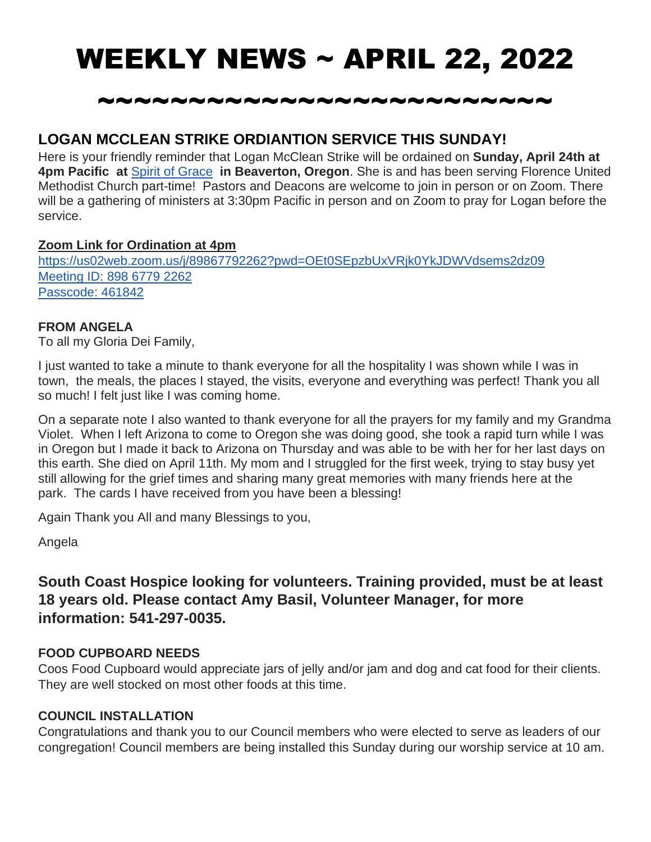# WEEKLY NEWS ~ APRIL 22, 2022

## ~~~~~~~~~~~~~~~~~~~~~~~~~

### **LOGAN MCCLEAN STRIKE ORDIANTION SERVICE THIS SUNDAY!**

Here is your friendly reminder that Logan McClean Strike will be ordained on **Sunday, April 24th at 4pm Pacific at** [Spirit of Grace](https://spiritofgracepdx.org/) **in Beaverton, Oregon**. She is and has been serving Florence United Methodist Church part-time! Pastors and Deacons are welcome to join in person or on Zoom. There will be a gathering of ministers at 3:30pm Pacific in person and on Zoom to pray for Logan before the service.

#### **Zoom Link for Ordination at 4pm**

<https://us02web.zoom.us/j/89867792262?pwd=OEt0SEpzbUxVRjk0YkJDWVdsems2dz09> [Meeting ID: 898 6779 2262](https://us02web.zoom.us/j/89867792262?pwd=OEt0SEpzbUxVRjk0YkJDWVdsems2dz09) [Passcode: 461842](https://us02web.zoom.us/j/89867792262?pwd=OEt0SEpzbUxVRjk0YkJDWVdsems2dz09)

#### **FROM ANGELA**

To all my Gloria Dei Family,

I just wanted to take a minute to thank everyone for all the hospitality I was shown while I was in town, the meals, the places I stayed, the visits, everyone and everything was perfect! Thank you all so much! I felt just like I was coming home.

On a separate note I also wanted to thank everyone for all the prayers for my family and my Grandma Violet. When I left Arizona to come to Oregon she was doing good, she took a rapid turn while I was in Oregon but I made it back to Arizona on Thursday and was able to be with her for her last days on this earth. She died on April 11th. My mom and I struggled for the first week, trying to stay busy yet still allowing for the grief times and sharing many great memories with many friends here at the park. The cards I have received from you have been a blessing!

Again Thank you All and many Blessings to you,

Angela

**South Coast Hospice looking for volunteers. Training provided, must be at least 18 years old. Please contact Amy Basil, Volunteer Manager, for more information: 541-297-0035.**

#### **FOOD CUPBOARD NEEDS**

Coos Food Cupboard would appreciate jars of jelly and/or jam and dog and cat food for their clients. They are well stocked on most other foods at this time.

#### **COUNCIL INSTALLATION**

Congratulations and thank you to our Council members who were elected to serve as leaders of our congregation! Council members are being installed this Sunday during our worship service at 10 am.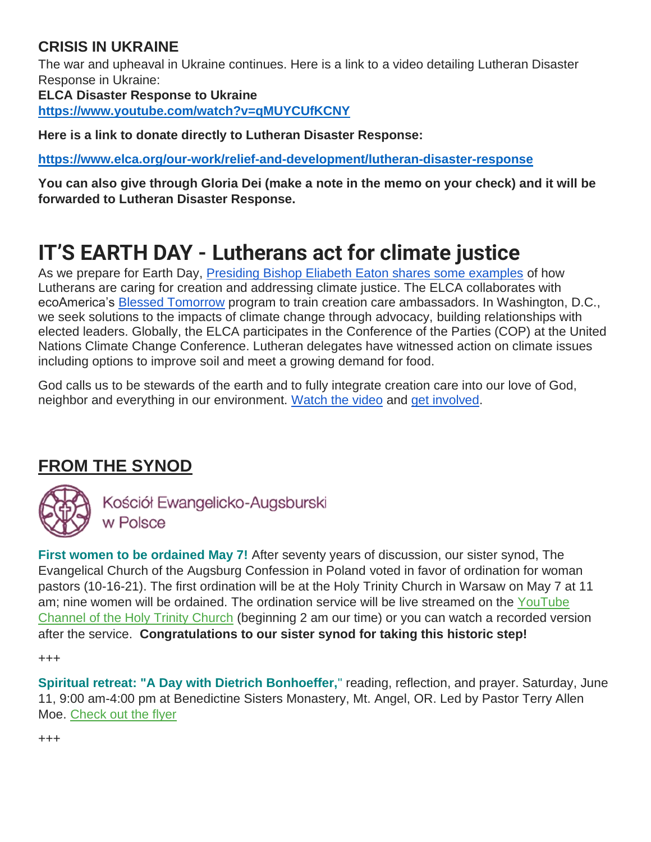### **CRISIS IN UKRAINE**

The war and upheaval in Ukraine continues. Here is a link to a video detailing Lutheran Disaster Response in Ukraine:

**ELCA Disaster Response to Ukraine**

**<https://www.youtube.com/watch?v=qMUYCUfKCNY>**

**Here is a link to donate directly to Lutheran Disaster Response:**

**<https://www.elca.org/our-work/relief-and-development/lutheran-disaster-response>**

**You can also give through Gloria Dei (make a note in the memo on your check) and it will be forwarded to Lutheran Disaster Response.**

## **IT'S EARTH DAY - Lutherans act for climate justice**

As we prepare for Earth Day, [Presiding Bishop Eliabeth Eaton shares some examples](https://community.elca.org/page.redir?target=https%3a%2f%2fwww.youtube.com%2fwatch%3fv%3dGhRXtQMGr_Q&srcid=304195&srctid=1&erid=baf55e75-a6ba-4433-a038-186e2c51d24d&trid=baf55e75-a6ba-4433-a038-186e2c51d24d) of how Lutherans are caring for creation and addressing climate justice. The ELCA collaborates with ecoAmerica's [Blessed Tomorrow](https://community.elca.org/page.redir?target=https%3a%2f%2fecoamerica.org%2ffaith%2f&srcid=304195&srctid=1&erid=baf55e75-a6ba-4433-a038-186e2c51d24d&trid=baf55e75-a6ba-4433-a038-186e2c51d24d) program to train creation care ambassadors. In Washington, D.C., we seek solutions to the impacts of climate change through advocacy, building relationships with elected leaders. Globally, the ELCA participates in the Conference of the Parties (COP) at the United Nations Climate Change Conference. Lutheran delegates have witnessed action on climate issues including options to improve soil and meet a growing demand for food.

God calls us to be stewards of the earth and to fully integrate creation care into our love of God, neighbor and everything in our environment. [Watch the video](https://community.elca.org/page.redir?target=https%3a%2f%2fwww.youtube.com%2fwatch%3fv%3dGhRXtQMGr_Q&srcid=304195&srctid=1&erid=baf55e75-a6ba-4433-a038-186e2c51d24d&trid=baf55e75-a6ba-4433-a038-186e2c51d24d) and [get involved.](https://community.elca.org/page.redir?target=https%3a%2f%2felca.org%2fenvironment&srcid=304195&srctid=1&erid=baf55e75-a6ba-4433-a038-186e2c51d24d&trid=baf55e75-a6ba-4433-a038-186e2c51d24d)

## **FROM THE SYNOD**



Kościół Ewangelicko-Augsburski w Polsce

**First women to be ordained May 7!** After seventy years of discussion, our sister synod, The Evangelical Church of the Augsburg Confession in Poland voted in favor of ordination for woman pastors (10-16-21). The first ordination will be at the Holy Trinity Church in Warsaw on May 7 at 11 am; nine women will be ordained. The ordination service will be live streamed on the YouTube [Channel of the Holy Trinity Church](https://oregonsynod.us8.list-manage.com/track/click?u=ae3a96d1d43bb3c973f63ae2d&id=670cf0572a&e=c55458bf74) (beginning 2 am our time) or you can watch a recorded version after the service. **Congratulations to our sister synod for taking this historic step!**

+++

**Spiritual retreat: "A Day with Dietrich Bonhoeffer,**" reading, reflection, and prayer. Saturday, June 11, 9:00 am-4:00 pm at Benedictine Sisters Monastery, Mt. Angel, OR. Led by Pastor Terry Allen Moe. [Check out the flyer](https://oregonsynod.us8.list-manage.com/track/click?u=ae3a96d1d43bb3c973f63ae2d&id=023961a7e8&e=c55458bf74)

+++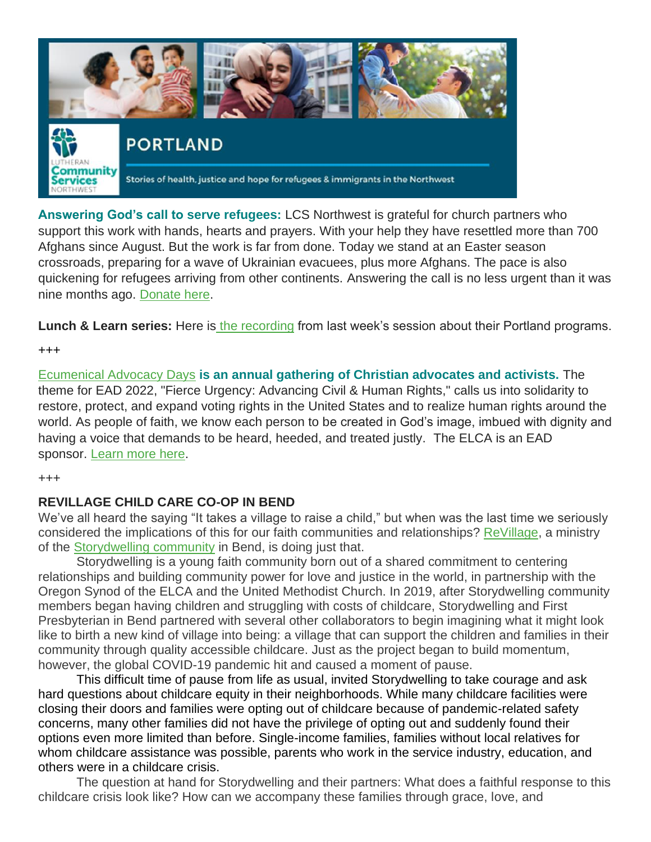

**Answering God's call to serve refugees:** LCS Northwest is grateful for church partners who support this work with hands, hearts and prayers. With your help they have resettled more than 700 Afghans since August. But the work is far from done. Today we stand at an Easter season crossroads, preparing for a wave of Ukrainian evacuees, plus more Afghans. The pace is also quickening for refugees arriving from other continents. Answering the call is no less urgent than it was nine months ago. [Donate here.](https://oregonsynod.us8.list-manage.com/track/click?u=ae3a96d1d43bb3c973f63ae2d&id=b5758eb43b&e=c55458bf74)

**Lunch & Learn series:** Here is [the recording](https://oregonsynod.us8.list-manage.com/track/click?u=ae3a96d1d43bb3c973f63ae2d&id=2dc824ef60&e=c55458bf74) from last week's session about their Portland programs.

+++

[Ecumenical Advocacy Days](https://oregonsynod.us8.list-manage.com/track/click?u=ae3a96d1d43bb3c973f63ae2d&id=d224b71aa7&e=c55458bf74) **is an annual gathering of Christian advocates and activists.** The theme for EAD 2022, "Fierce Urgency: Advancing Civil & Human Rights," calls us into solidarity to restore, protect, and expand voting rights in the United States and to realize human rights around the world. As people of faith, we know each person to be created in God's image, imbued with dignity and having a voice that demands to be heard, heeded, and treated justly. The ELCA is an EAD sponsor. [Learn more here.](https://oregonsynod.us8.list-manage.com/track/click?u=ae3a96d1d43bb3c973f63ae2d&id=a63f62841d&e=c55458bf74)

+++

#### **REVILLAGE CHILD CARE CO-OP IN BEND**

We've all heard the saying "It takes a village to raise a child," but when was the last time we seriously considered the implications of this for our faith communities and relationships? [ReVillage,](http://bendstorydwelling.org/revillage/) a ministry of the [Storydwelling community](http://bendstorydwelling.org/) in Bend, is doing just that.

Storydwelling is a young faith community born out of a shared commitment to centering relationships and building community power for love and justice in the world, in partnership with the Oregon Synod of the ELCA and the United Methodist Church. In 2019, after Storydwelling community members began having children and struggling with costs of childcare, Storydwelling and First Presbyterian in Bend partnered with several other collaborators to begin imagining what it might look like to birth a new kind of village into being: a village that can support the children and families in their community through quality accessible childcare. Just as the project began to build momentum, however, the global COVID-19 pandemic hit and caused a moment of pause.

This difficult time of pause from life as usual, invited Storydwelling to take courage and ask hard questions about childcare equity in their neighborhoods. While many childcare facilities were closing their doors and families were opting out of childcare because of pandemic-related safety concerns, many other families did not have the privilege of opting out and suddenly found their options even more limited than before. Single-income families, families without local relatives for whom childcare assistance was possible, parents who work in the service industry, education, and others were in a childcare crisis.

The question at hand for Storydwelling and their partners: What does a faithful response to this childcare crisis look like? How can we accompany these families through grace, love, and